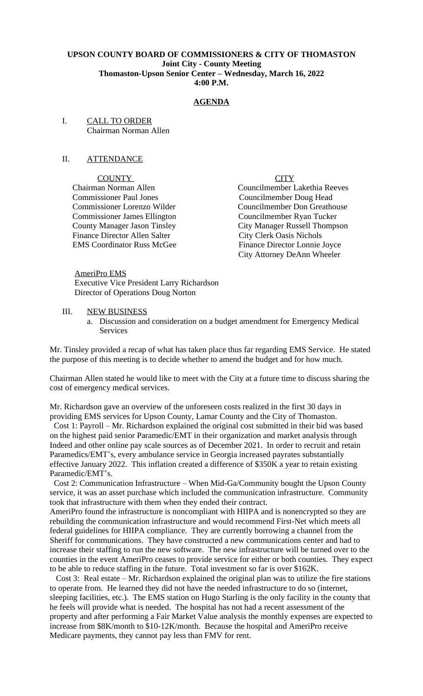# **UPSON COUNTY BOARD OF COMMISSIONERS & CITY OF THOMASTON Joint City - County Meeting Thomaston-Upson Senior Center – Wednesday, March 16, 2022 4:00 P.M.**

# **AGENDA**

I. CALL TO ORDER Chairman Norman Allen

## II. ATTENDANCE

COUNTY CITY

 Commissioner Paul Jones Councilmember Doug Head Finance Director Allen Salter<br>EMS Coordinator Russ McGee

 Chairman Norman Allen Councilmember Lakethia Reeves Commissioner Lorenzo Wilder Councilmember Don Greathouse<br>
Councilmember Avan Tucker<br>
Councilmember Rvan Tucker Councilmember Ryan Tucker County Manager Jason Tinsley<br>
Finance Director Allen Salter<br>
City Clerk Oasis Nichols<br>
City Clerk Oasis Nichols Finance Director Lonnie Joyce City Attorney DeAnn Wheeler

 AmeriPro EMS Executive Vice President Larry Richardson Director of Operations Doug Norton

- III. NEW BUSINESS
	- a. Discussion and consideration on a budget amendment for Emergency Medical Services

Mr. Tinsley provided a recap of what has taken place thus far regarding EMS Service. He stated the purpose of this meeting is to decide whether to amend the budget and for how much.

Chairman Allen stated he would like to meet with the City at a future time to discuss sharing the cost of emergency medical services.

Mr. Richardson gave an overview of the unforeseen costs realized in the first 30 days in providing EMS services for Upson County, Lamar County and the City of Thomaston.

 Cost 1: Payroll – Mr. Richardson explained the original cost submitted in their bid was based on the highest paid senior Paramedic/EMT in their organization and market analysis through Indeed and other online pay scale sources as of December 2021. In order to recruit and retain Paramedics/EMT's, every ambulance service in Georgia increased payrates substantially effective January 2022. This inflation created a difference of \$350K a year to retain existing Paramedic/EMT's.

 Cost 2: Communication Infrastructure – When Mid-Ga/Community bought the Upson County service, it was an asset purchase which included the communication infrastructure. Community took that infrastructure with them when they ended their contract.

AmeriPro found the infrastructure is noncompliant with HIIPA and is nonencrypted so they are rebuilding the communication infrastructure and would recommend First-Net which meets all federal guidelines for HIIPA compliance. They are currently borrowing a channel from the Sheriff for communications. They have constructed a new communications center and had to increase their staffing to run the new software. The new infrastructure will be turned over to the counties in the event AmeriPro ceases to provide service for either or both counties. They expect to be able to reduce staffing in the future. Total investment so far is over \$162K.

 Cost 3: Real estate – Mr. Richardson explained the original plan was to utilize the fire stations to operate from. He learned they did not have the needed infrastructure to do so (internet, sleeping facilities, etc.). The EMS station on Hugo Starling is the only facility in the county that he feels will provide what is needed. The hospital has not had a recent assessment of the property and after performing a Fair Market Value analysis the monthly expenses are expected to increase from \$8K/month to \$10-12K/month. Because the hospital and AmeriPro receive Medicare payments, they cannot pay less than FMV for rent.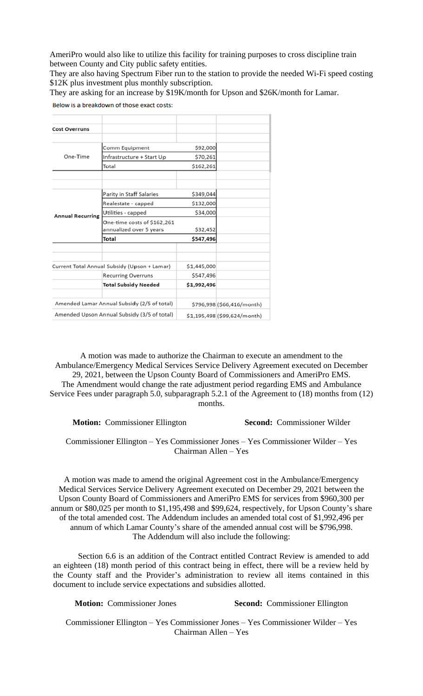AmeriPro would also like to utilize this facility for training purposes to cross discipline train between County and City public safety entities.

They are also having Spectrum Fiber run to the station to provide the needed Wi-Fi speed costing \$12K plus investment plus monthly subscription.

They are asking for an increase by \$19K/month for Upson and \$26K/month for Lamar.

|  | Below is a breakdown of those exact costs |  |  |
|--|-------------------------------------------|--|--|
|  |                                           |  |  |

| <b>Cost Overruns</b>                        |                                                        |             |                              |
|---------------------------------------------|--------------------------------------------------------|-------------|------------------------------|
|                                             |                                                        |             |                              |
|                                             | Comm Equipment                                         | \$92,000    |                              |
| One-Time                                    | Infrastructure + Start Up                              | \$70,261    |                              |
|                                             | Total                                                  | \$162,261   |                              |
|                                             |                                                        |             |                              |
|                                             |                                                        |             |                              |
|                                             | Parity in Staff Salaries                               | \$349,044   |                              |
|                                             | Realestate - capped                                    | \$132,000   |                              |
| <b>Annual Recurring</b>                     | Utilities - capped                                     | \$34,000    |                              |
|                                             | One-time costs of \$162,261<br>annualized over 5 years | \$32,452    |                              |
|                                             | Total                                                  | \$547,496   |                              |
|                                             |                                                        |             |                              |
|                                             |                                                        |             |                              |
|                                             | Current Total Annual Subsidy (Upson + Lamar)           | \$1,445,000 |                              |
|                                             | <b>Recurring Overruns</b>                              | \$547,496   |                              |
|                                             | <b>Total Subsidy Needed</b>                            | \$1,992,496 |                              |
|                                             |                                                        |             |                              |
| Amended Lamar Annual Subsidy (2/5 of total) |                                                        |             | \$796,998 (\$66,416/month)   |
| Amended Upson Annual Subsidy (3/5 of total) |                                                        |             | \$1,195,498 (\$99,624/month) |

A motion was made to authorize the Chairman to execute an amendment to the Ambulance/Emergency Medical Services Service Delivery Agreement executed on December 29, 2021, between the Upson County Board of Commissioners and AmeriPro EMS. The Amendment would change the rate adjustment period regarding EMS and Ambulance Service Fees under paragraph 5.0, subparagraph 5.2.1 of the Agreement to (18) months from (12) months.

**Motion:** Commissioner Ellington **Second:** Commissioner Wilder

Commissioner Ellington – Yes Commissioner Jones – Yes Commissioner Wilder – Yes Chairman Allen – Yes

A motion was made to amend the original Agreement cost in the Ambulance/Emergency Medical Services Service Delivery Agreement executed on December 29, 2021 between the Upson County Board of Commissioners and AmeriPro EMS for services from \$960,300 per annum or \$80,025 per month to \$1,195,498 and \$99,624, respectively, for Upson County's share of the total amended cost. The Addendum includes an amended total cost of \$1,992,496 per annum of which Lamar County's share of the amended annual cost will be \$796,998. The Addendum will also include the following:

Section 6.6 is an addition of the Contract entitled Contract Review is amended to add an eighteen (18) month period of this contract being in effect, there will be a review held by the County staff and the Provider's administration to review all items contained in this document to include service expectations and subsidies allotted.

**Motion:** Commissioner Jones **Second:** Commissioner Ellington

Commissioner Ellington – Yes Commissioner Jones – Yes Commissioner Wilder – Yes Chairman Allen – Yes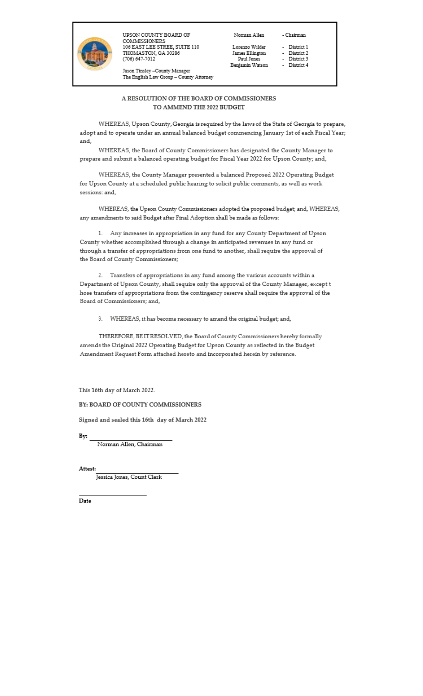

UPSON COUNTY BOARD OF COMMISSIONERS<br>106 EAST LEE STREE, SUITE 110 THOMASTON, GA 30286 (706) 647-7012

Norman Allen

Lorenzo Wilder James Ellington Paul Jones Benjamin Watson - District 1 District 2

- Chairman

- District 3 - District 4
	-

Jason Tinsley –County Manager<br>The English Law Group – County Attorney

### A RESOLUTION OF THE BOARD OF COMMISSIONERS TO AMMEND THE 2022 BUDGET

WHEREAS, Upson County, Georgia is required by the laws of the State of Georgia to prepare, adopt and to operate under an annual balanced budget commencing January 1st of each Fiscal Year; and,

WHEREAS, the Board of County Commissioners has designated the County Manager to prepare and submit a balanced operating budget for Fiscal Year 2022 for Upson County; and,

WHEREAS, the County Manager presented a balanced Proposed 2022 Operating Budget for Upson County at a scheduled public hearing to solicit public comments, as well as work sessions: and,

WHEREAS, the Upson County Commissioners adopted the proposed budget; and, WHEREAS, any amendments to said Budget after Final Adoption shall be made as follows:

1. Any increases in appropriation in any fund for any County Department of Upson County whether accomplished through a change in anticipated revenues in any fund or through a transfer of appropriations from one fund to another, shall require the approval of the Board of County Commissioners;

2. Transfers of appropriations in any fund among the various accounts within a Department of Upson County, shall require only the approval of the County Manager, except t hose transfers of appropriations from the contingency reserve shall require the approval of the Board of Commissioners; and,

3. WHEREAS, it has become necessary to amend the original budget; and,

THEREFORE, BEITRESOLVED, the Board of County Commissioners hereby formally amends the Original 2022 Operating Budget for Upson County as reflected in the Budget Amendment Request Form attached hereto and incorporated herein by reference.

This 16th day of March 2022.

## BY: BOARD OF COUNTY COMMISSIONERS

Signed and sealed this 16th day of March 2022

By:  $\overline{\phantom{a}}$ 

Norman Allen, Chairman

Attest:

Jessica Jones, Count Clerk

Date